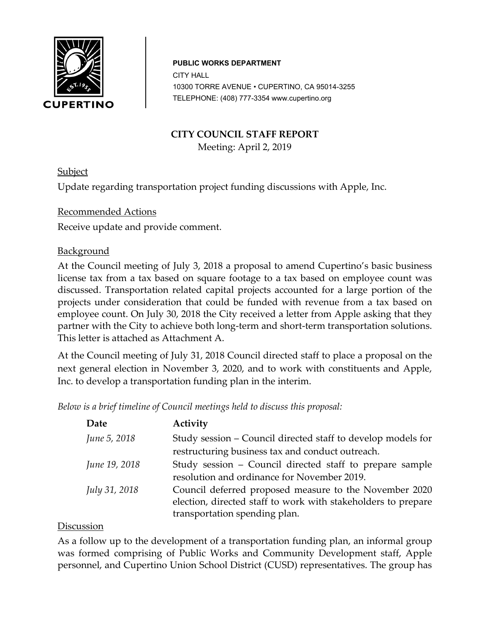

#### **c PUBLIC WORKS DEPARTMENT**

CITY HALL 10 10300 TORRE AVENUE • CUPERTINO, CA 95014-3255 TELEPHONE: (408) 777-3354 www.cupertino.org

### **CITY COUNCIL STAFF REPORT**

Meeting: April 2, 2019

**Subject** 

Update regarding transportation project funding discussions with Apple, Inc.

# Recommended Actions

Receive update and provide comment.

# **Background**

At the Council meeting of July 3, 2018 a proposal to amend Cupertino's basic business license tax from a tax based on square footage to a tax based on employee count was discussed. Transportation related capital projects accounted for a large portion of the projects under consideration that could be funded with revenue from a tax based on employee count. On July 30, 2018 the City received a letter from Apple asking that they partner with the City to achieve both long-term and short-term transportation solutions. This letter is attached as Attachment A.

At the Council meeting of July 31, 2018 Council directed staff to place a proposal on the next general election in November 3, 2020, and to work with constituents and Apple, Inc. to develop a transportation funding plan in the interim.

*Below is a brief timeline of Council meetings held to discuss this proposal:*

| Date                 | Activity                                                      |  |  |  |
|----------------------|---------------------------------------------------------------|--|--|--|
| June 5, 2018         | Study session – Council directed staff to develop models for  |  |  |  |
|                      | restructuring business tax and conduct outreach.              |  |  |  |
| June 19, 2018        | Study session – Council directed staff to prepare sample      |  |  |  |
|                      | resolution and ordinance for November 2019.                   |  |  |  |
| <i>July 31, 2018</i> | Council deferred proposed measure to the November 2020        |  |  |  |
|                      | election, directed staff to work with stakeholders to prepare |  |  |  |
|                      | transportation spending plan.                                 |  |  |  |

#### **Discussion**

As a follow up to the development of a transportation funding plan, an informal group was formed comprising of Public Works and Community Development staff, Apple personnel, and Cupertino Union School District (CUSD) representatives. The group has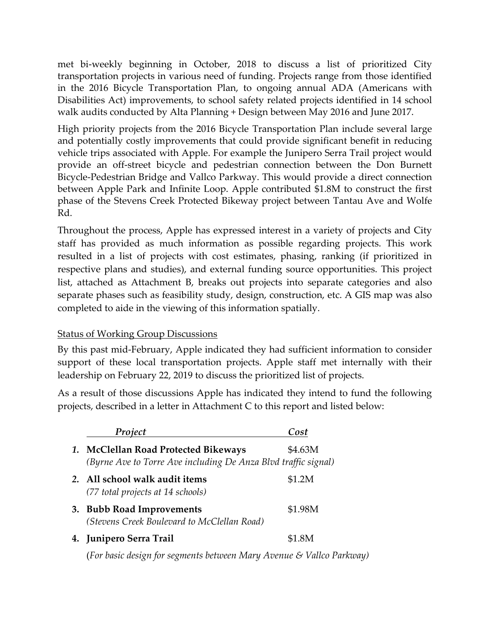met bi-weekly beginning in October, 2018 to discuss a list of prioritized City transportation projects in various need of funding. Projects range from those identified in the 2016 Bicycle Transportation Plan, to ongoing annual ADA (Americans with Disabilities Act) improvements, to school safety related projects identified in 14 school walk audits conducted by Alta Planning + Design between May 2016 and June 2017.

High priority projects from the 2016 Bicycle Transportation Plan include several large and potentially costly improvements that could provide significant benefit in reducing vehicle trips associated with Apple. For example the Junipero Serra Trail project would provide an off-street bicycle and pedestrian connection between the Don Burnett Bicycle-Pedestrian Bridge and Vallco Parkway. This would provide a direct connection between Apple Park and Infinite Loop. Apple contributed \$1.8M to construct the first phase of the Stevens Creek Protected Bikeway project between Tantau Ave and Wolfe Rd.

Throughout the process, Apple has expressed interest in a variety of projects and City staff has provided as much information as possible regarding projects. This work resulted in a list of projects with cost estimates, phasing, ranking (if prioritized in respective plans and studies), and external funding source opportunities. This project list, attached as Attachment B, breaks out projects into separate categories and also separate phases such as feasibility study, design, construction, etc. A GIS map was also completed to aide in the viewing of this information spatially.

#### Status of Working Group Discussions

By this past mid-February, Apple indicated they had sufficient information to consider support of these local transportation projects. Apple staff met internally with their leadership on February 22, 2019 to discuss the prioritized list of projects.

As a result of those discussions Apple has indicated they intend to fund the following projects, described in a letter in Attachment C to this report and listed below:

| Project                                                                                                | Cost    |
|--------------------------------------------------------------------------------------------------------|---------|
| 1. McClellan Road Protected Bikeways<br>(Byrne Ave to Torre Ave including De Anza Blvd traffic signal) | \$4.63M |
| 2. All school walk audit items<br>(77 total projects at 14 schools)                                    | \$1.2M  |
| 3. Bubb Road Improvements<br>(Stevens Creek Boulevard to McClellan Road)                               | \$1.98M |
| 4. Junipero Serra Trail                                                                                | \$1.8M  |

(*For basic design for segments between Mary Avenue & Vallco Parkway)*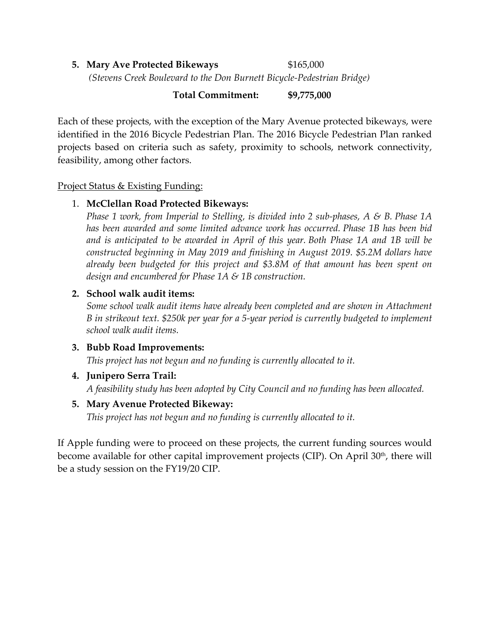# **5. Mary Ave Protected Bikeways**  $$165,000$ *(Stevens Creek Boulevard to the Don Burnett Bicycle-Pedestrian Bridge)*

### **Total Commitment: \$9,775,000**

Each of these projects, with the exception of the Mary Avenue protected bikeways, were identified in the 2016 Bicycle Pedestrian Plan. The 2016 Bicycle Pedestrian Plan ranked projects based on criteria such as safety, proximity to schools, network connectivity, feasibility, among other factors.

Project Status & Existing Funding:

# 1. **McClellan Road Protected Bikeways:**

*Phase 1 work, from Imperial to Stelling, is divided into 2 sub-phases, A & B. Phase 1A has been awarded and some limited advance work has occurred. Phase 1B has been bid and is anticipated to be awarded in April of this year. Both Phase 1A and 1B will be constructed beginning in May 2019 and finishing in August 2019. \$5.2M dollars have already been budgeted for this project and \$3.8M of that amount has been spent on design and encumbered for Phase 1A & 1B construction.*

# **2. School walk audit items:**

*Some school walk audit items have already been completed and are shown in Attachment B in strikeout text. \$250k per year for a 5-year period is currently budgeted to implement school walk audit items.* 

#### **3. Bubb Road Improvements:**

*This project has not begun and no funding is currently allocated to it.*

# **4. Junipero Serra Trail:**

*A feasibility study has been adopted by City Council and no funding has been allocated.*

# **5. Mary Avenue Protected Bikeway:**

*This project has not begun and no funding is currently allocated to it.*

If Apple funding were to proceed on these projects, the current funding sources would become available for other capital improvement projects (CIP). On April  $30<sup>th</sup>$ , there will be a study session on the FY19/20 CIP.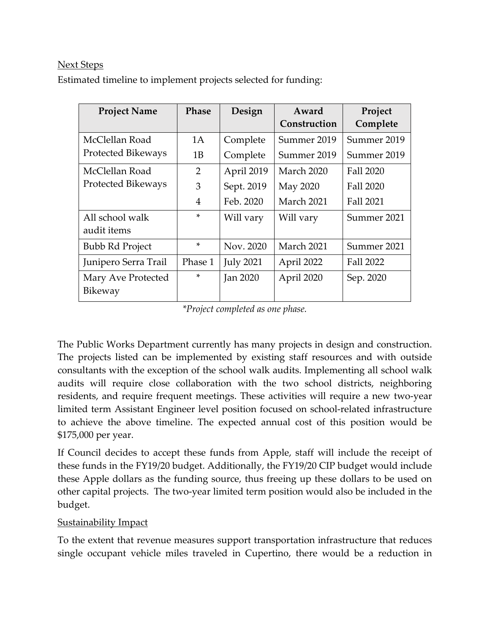#### Next Steps

Estimated timeline to implement projects selected for funding:

| <b>Project Name</b>       | <b>Phase</b>   | Design           | Award        | Project          |
|---------------------------|----------------|------------------|--------------|------------------|
|                           |                |                  | Construction | Complete         |
| McClellan Road            | 1A             | Complete         | Summer 2019  | Summer 2019      |
| <b>Protected Bikeways</b> | 1B             | Complete         | Summer 2019  | Summer 2019      |
| McClellan Road            | $\overline{2}$ | April 2019       | March 2020   | Fall 2020        |
| <b>Protected Bikeways</b> | 3              | Sept. 2019       | May 2020     | Fall 2020        |
|                           | 4              | Feb. 2020        | March 2021   | Fall 2021        |
| All school walk           | $\ast$         | Will vary        | Will vary    | Summer 2021      |
| audit items               |                |                  |              |                  |
| <b>Bubb Rd Project</b>    | $\ast$         | Nov. 2020        | March 2021   | Summer 2021      |
| Junipero Serra Trail      | Phase 1        | <b>July 2021</b> | April 2022   | <b>Fall 2022</b> |
| Mary Ave Protected        | $\ast$         | <b>Jan 2020</b>  | April 2020   | Sep. 2020        |
| Bikeway                   |                |                  |              |                  |

*\*Project completed as one phase.*

The Public Works Department currently has many projects in design and construction. The projects listed can be implemented by existing staff resources and with outside consultants with the exception of the school walk audits. Implementing all school walk audits will require close collaboration with the two school districts, neighboring residents, and require frequent meetings. These activities will require a new two-year limited term Assistant Engineer level position focused on school-related infrastructure to achieve the above timeline. The expected annual cost of this position would be \$175,000 per year.

If Council decides to accept these funds from Apple, staff will include the receipt of these funds in the FY19/20 budget. Additionally, the FY19/20 CIP budget would include these Apple dollars as the funding source, thus freeing up these dollars to be used on other capital projects. The two-year limited term position would also be included in the budget.

#### **Sustainability Impact**

To the extent that revenue measures support transportation infrastructure that reduces single occupant vehicle miles traveled in Cupertino, there would be a reduction in